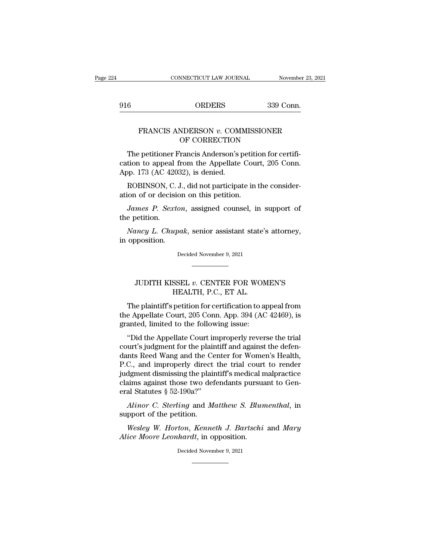<sup>916</sup> ORDERS 339 Conn.

## CONNECTICUT LAW JOURNAL November 23, 2021<br>
ORDERS 339 Conn.<br>
FRANCIS ANDERSON *v*. COMMISSIONER<br>
OF CORRECTION ORDERS 339 Co<br>
NDERSON v. COMMISSIONER<br>
OF CORRECTION<br>
Trancis Anderson's petition for cer

 $\begin{array}{ll}\n 6 & \text{ORDERS} & \text{339 Conn.} \\
 \text{FRANCIS ANDERSON } v. & \text{COMMISSIONER} \\
 \text{OF CORRECTION} \\
 \text{The pertinent Francis Anderson's pettion for certification to appeal from the Appellate Court, 205 Conn.} \\
 \text{Onn. } 173 (AC.42032) is doubled\n \end{array}$ FRANCIS ANDERSON v. COMMISSIONER<br>
OF CORRECTION<br>
The petitioner Francis Anderson's petition for certification to appeal from the Appellate Court, 205 Conn.<br>
App. 173 (AC 42032), is denied. FRANCIS ANDERSON  $v$ . COM.<br>
OF CORRECTION<br>
The petitioner Francis Anderson's praction to appeal from the Appellate<br>
App. 173 (AC 42032), is denied.<br>
ROBINSON, C. J., did not participa FRANCIS ANDERSON  $v$ . COMMISSIONER<br>OF CORRECTION<br>The petitioner Francis Anderson's petition for certifi-<br>tion to appeal from the Appellate Court, 205 Conn.<br>pp. 173 (AC 42032), is denied.<br>ROBINSON, C. J., did not participa OF CORRECTION<br>The petitioner Francis Anderson's petitication to appeal from the Appellate Cour<br>App. 173 (AC 42032), is denied.<br>ROBINSON, C. J., did not participate in<br>ation of or decision on this petition.<br>James P. Sexton, The petitioner Francis Anderson's petition for certifition to appeal from the Appellate Court, 205 Conn.<br>pp. 173 (AC 42032), is denied.<br>ROBINSON, C. J., did not participate in the consider-<br>ion of or decision on this petit cation to appeal<br>App. 173 (AC 420<br>ROBINSON, C.<br>ation of or decisi<br>James P. Sext<br>the petition.<br>Nancy L. Chup

*ROBINSON, C. J., did not participate in the consider-<br>ROBINSON, C. J., did not participate in the consider-<br>James P. Sexton, assigned counsel, in support of<br>e petition.<br><i>Nancy L. Chupak*, senior assistant state's attorney ROBINSON, C. J.<br>ation of or decision<br>*James P. Sextor*<br>the petition.<br>*Nancy L. Chupa*<br>in opposition. Nancy L. Chupak, senior assistant state's attorney, opposition.<br>Decided November 9, 2021 % Internal Composition.<br>
Decided November 9, 2021<br>
Decided November 9, 2021<br>
DUDITH KISSEL *v*. CENTER FOR WOMEN'S<br>
HEALTH, P.C., ET AL.

# HEALTH, P.C., ET AL.

Decided November 9, 2021<br>
TUDITH KISSEL v. CENTER FOR WOMEN'S<br>
HEALTH, P.C., ET AL.<br>
The plaintiff's petition for certification to appeal from<br>
e Appellate Court, 205 Conn. App. 394 (AC 42469), is<br>
anted limited to the fol  $\begin{tabular}{ll} \hline & \multicolumn{1}{c}{\textbf{JUDITH KISSEL}\ v. \textbf{ CENTER FOR WOMEN'S} \end{tabular} \begin{tabular}{ll} \textbf{HEALTH, P.C., ET AL.} \end{tabular} \begin{tabular}{ll} \multicolumn{1}{c}{\textbf{The plaintiff's~petition for certification to appeal from} \end{tabular} \end{tabular} \begin{tabular}{ll} \hline \textbf{The Appellate Court, 205 Conn. App. 394 (AC 42469), is granted, limited to the following issue:} \end{tabular}$ JUDITH KISSEL v. CENTER FOR WOM<br>HEALTH, P.C., ET AL.<br>The plaintiff's petition for certification to ap<br>the Appellate Court, 205 Conn. App. 394 (AC<br>granted, limited to the following issue:<br>"Did the Appellate Court improperly JUDITH KISSEL *v*. CENTER FOR WOMEN'S<br>
HEALTH, P.C., ET AL.<br>
The plaintiff's petition for certification to appeal from<br>
e Appellate Court, 205 Conn. App. 394 (AC 42469), is<br>
anted, limited to the following issue:<br>
"Did the

HEALTH, P.C., ET AL.<br>The plaintiff's petition for certification to appeal from<br>the Appellate Court, 205 Conn. App. 394 (AC 42469), is<br>granted, limited to the following issue:<br>"Did the Appellate Court improperly reverse the The plaintiff's petition for certification to appeal from<br>the Appellate Court, 205 Conn. App. 394 (AC 42469), is<br>granted, limited to the following issue:<br>"Did the Appellate Court improperly reverse the trial<br>court's judgme The paintin s petition for extinct<br>ation to appear nont<br>the Appellate Court, 205 Conn. App. 394 (AC 42469), is<br>granted, limited to the following issue:<br>"Did the Appellate Court improperly reverse the trial<br>court's judgment die Appenate Court, 200 Contr. App. 354 (AC 42465), is<br>granted, limited to the following issue:<br>"Did the Appellate Court improperly reverse the trial<br>court's judgment for the plaintiff and against the defen-<br>dants Reed Wan "Did the Appellate Court improperly reverse the trial court's judgment for the plaintiff and against the defendants Reed Wang and the Center for Women's Health, P.C., and improperly direct the trial court to render judgme "Did the Appellate Court in<br>court's judgment for the plain<br>dants Reed Wang and the Ce<br>P.C., and improperly direct<br>judgment dismissing the plain<br>claims against those two deferal Statutes  $\S~52-190a?"$ <br>Alinor C. Sterling and and *Alinor C. Sterling* and the Center for Women's Health,<br>*C.*, and improperly direct the trial court to render<br>dgment dismissing the plaintiff's medical malpractice<br>aims against those two defendants pursuant to Gen-<br>al F.C., and improperly direct<br>P.C., and improperly direct<br>judgment dismissing the plain<br>claims against those two def<br>eral Statutes § 52-190a?"<br>*Alinor C. Sterling* and *M*<br>support of the petition.<br>*Wesley W. Horton, Kenne Mediament dismissing the plaintiff's medical malpractice*<br> *W. Hortonal Statutes* § 52-190a?"<br> *Alinor C. Sterling and Matthew S. Blumenthal*, in<br>
pport of the petition.<br> *Wesley W. Horton, Kenneth J. Bartschi and Mary*<br> claims against those two defendants pursus<br>eral Statutes § 52-190a?"<br>*Alinor C. Sterling* and *Matthew S. Blur*<br>support of the petition.<br>*Wesley W. Horton, Kenneth J. Bartschi*<br>*Alice Moore Leonhardt*, in opposition.<br>Decid

support of the petition.<br>Wesley W. Horton, Kenneth J. Bartschi and Mary<br>Alice Moore Leonhardt, in opposition.<br>Decided November 9, 2021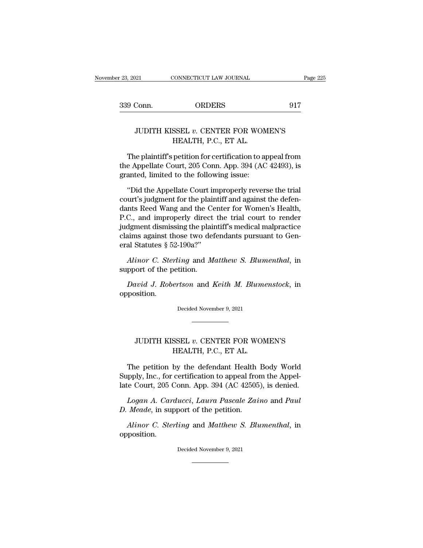## 921 CONNECTICUT LAW JOURNAL Page 22<br>
Conn. ORDERS 917<br>
JUDITH KISSEL *v*. CENTER FOR WOMEN'S<br>
HEALTH, P.C., ET AL. ORDERS<br>SSEL v. CENTER FOR WOI<br>HEALTH, P.C., ET AL.<br>petition for certification to a

9 Conn.  $\qquad$  ORDERS  $\qquad$  917<br>JUDITH KISSEL  $v$ . CENTER FOR WOMEN'S<br>HEALTH, P.C., ET AL.<br>The plaintiff's petition for certification to appeal from<br>e Appellate Court, 205 Conn. App. 394 (AC 42493), is<br>anted limited to the THE APPEL WARD THE APPEL OF THE APPENT OF THE ALTH, P.C., ET AL.<br>The plaintiff's petition for certification to appeal from<br>the Appellate Court, 205 Conn. App. 394 (AC 42493), is<br>granted, limited to the following issue: JUDITH KISSEL  $v$ . CENTER FOR WOM<br>HEALTH, P.C., ET AL.<br>The plaintiff's petition for certification to a<br>the Appellate Court, 205 Conn. App. 394 (AC<br>granted, limited to the following issue:<br>"Did the Appellate Court improper HEALTH, P.C., ET AL.<br>The plaintiff's petition for certification to appeal from<br>e Appellate Court, 205 Conn. App. 394 (AC 42493), is<br>anted, limited to the following issue:<br>"Did the Appellate Court improperly reverse the tri

The plaintiff's petition for certification to appeal from<br>the Appellate Court, 205 Conn. App. 394 (AC 42493), is<br>granted, limited to the following issue:<br>"Did the Appellate Court improperly reverse the trial<br>court's judgme The plaintiff's petition for certification to appeal from<br>the Appellate Court, 205 Conn. App. 394 (AC 42493), is<br>granted, limited to the following issue:<br>"Did the Appellate Court improperly reverse the trial<br>court's judgme the Appellate Court, 205 Conn. App. 394 (AC 42493), is<br>granted, limited to the following issue:<br>"Did the Appellate Court improperly reverse the trial<br>court's judgment for the plaintiff and against the defen-<br>dants Reed Wan granted, limited to the following issue:<br>
"Did the Appellate Court improperly reverse the trial<br>
court's judgment for the plaintiff and against the defen-<br>
dants Reed Wang and the Center for Women's Health,<br>
P.C., and impr "Did the Appellate Court improperly reverse the trial court's judgment for the plaintiff and against the defendants Reed Wang and the Center for Women's Health, P.C., and improperly direct the trial court to render judgme "Did the Appellate Court in<br>court's judgment for the plain<br>dants Reed Wang and the Ce<br>P.C., and improperly direct<br>judgment dismissing the plain<br>claims against those two deferal Statutes  $\S~52-190a?"$ <br>Alinor C. Sterling and nts Reed Wang and the Center for Women's Health,<br>C., and improperly direct the trial court to render<br>dgment dismissing the plaintiff's medical malpractice<br>aims against those two defendants pursuant to Gen-<br>al Statutes § 52 P.C., and improperly direct<br>judgment dismissing the plain<br>claims against those two det<br>eral Statutes  $\S~52-190a$ ."<br>Alinor C. Sterling and M<br>support of the petition.<br>David J. Robertson and I *David J. Robertson* and *Keith M. Blumenstock*, in position.<br> *David J. Robertson* and *Keith M. Blumenstock*, in position.

opposition. support of the petition.<br>
David J. Robertson and Keith M. Blumenstock, in<br>
opposition.<br>
Decided November 9, 2021

## JUDITH KISSEL *<sup>v</sup>*. CENTER FOR WOMEN'S HEALTH, P.C., ET AL.

JUDITH KISSEL v. CENTER FOR WOMEN'S<br>
HEALTH, P.C., ET AL.<br>
The petition by the defendant Health Body World<br>
upply, Inc., for certification to appeal from the Appel-SUPPLEM TO THE SUPPLEM TO THE SUPPLEM THE POST OF THE PERTURN TO THE PERTURN TO SUPPLY, Inc., for certification to appeal from the Appel-<br>Date Court, 205 Conn. App. 394 (AC 42505), is denied. JUDITH KISSEL v. CENTER FOR WOMEN'S<br>HEALTH, P.C., ET AL.<br>The petition by the defendant Health Body World<br>Supply, Inc., for certification to appeal from the Appel-<br>late Court, 205 Conn. App. 394 (AC 42505), is denied.<br>Logan *Logan A. Carducci, Laura Pascale Zaino* and *Paul*<br>*Logan A. Carducci, Laura Pascale Zaino* and *Paul*<br>*Logan A. Carducci, Laura Pascale Zaino* and *Paul*<br>*Meade,* in support of the petition. *D. Meader Stephy, Inc., for certification to appeal from late Court, 205 Conn. App. 394 (AC 42505 Logan A. Carducci, Laura Pascale Zai D. Meade, in support of the petition.<br><i>Alinor C. Sterling and Matthew S. Blather C. St* Inferred permits of the detendant Treath Body world<br>ppply, Inc., for certification to appeal from the Appel-<br>*Alinor A. Carducci*, *Laura Pascale Zaino* and *Paul*<br>*Meade*, in support of the petition.<br>*Alinor C. Sterling*

opposition. D. Meade, in support of the petition.<br>Alinor C. Sterling and Matthew S. Blumenthal, in<br>opposition.<br>Decided November 9, 2021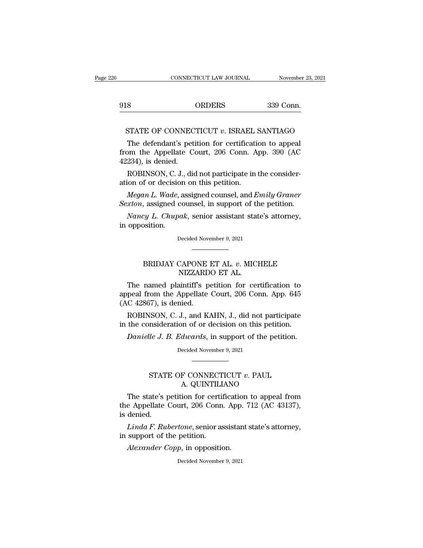|     | CONNECTICUT LAW JOURNAL | November 23, 2 |
|-----|-------------------------|----------------|
| 918 | <b>ORDERS</b>           | 339 Conn.      |

CONNECTICUT LAW JOURNAL November 23, 2021<br>18 ORDERS 339 Conn.<br>STATE OF CONNECTICUT *v*. ISRAEL SANTIAGO<br>The defendant's petition for certification to appeal STATE OF CONNECTICUT v. ISRAEL SANTIAGO<br>The defendant's petition for certification to appeal<br>Dm the Appellate Court, 206 Conn. App. 390 (AC 918 ORDERS 339 Conn.<br>
STATE OF CONNECTICUT v. ISRAEL SANTIAGO<br>
The defendant's petition for certification to appeal<br>
from the Appellate Court, 206 Conn. App. 390 (AC<br>
42234), is denied. 918<br>
STATE OF CONNEC<br>
The defendant's pet<br>
from the Appellate C<br>
42234), is denied.<br>
ROBINSON, C. J., die STATE OF CONNECTICUT  $v$ . ISRAEL SANTIAGO<br>The defendant's petition for certification to appeal<br>om the Appellate Court, 206 Conn. App. 390 (AC<br>234), is denied.<br>ROBINSON, C. J., did not participate in the consider-<br>ion of o STATE OF CONNECTICUT  $v$ . ISRAEL 3<br>The defendant's petition for certification<br>from the Appellate Court, 206 Conn. A<br>42234), is denied.<br>ROBINSON, C. J., did not participate in<br>ation of or decision on this petition.<br>Megan L The defendant's petition for certification to appeal<br> *Megan,* is denied.<br> *ROBINSON, C. J., did not participate in the consider-<br>
<i>Megan L. Wade,* assigned counsel, and *Emily Graner*<br> *xton,* assigned counsel, in support from the Appellate Court, 206 Conn. App. 390 (AC<br>42234), is denied.<br>ROBINSON, C. J., did not participate in the consider-<br>ation of or decision on this petition.<br>*Megan L. Wade*, assigned counsel, and *Emily Graner*<br>*Sexton* 

234), is denied.<br>*ROBINSON*, C. J., did not participate in the consider-<br>ion of or decision on this petition.<br>*Megan L. Wade*, assigned counsel, and *Emily Graner*<br>*xton*, assigned counsel, in support of the petition.<br>*Nan* ROBINSON, C. J.<br>ation of or decision<br>*Megan L. Wade, a<br>Sexton*, assigned contracts *Nancy L. Chapa*<br>in opposition.

Megan L. Wade, assigned counsel, and Emily Graner<br>Sexton, assigned counsel, in support of the petition.<br>Nancy L. Chupak, senior assistant state's attorney,<br>in opposition.<br>Decided November 9, 2021

BRIDJAY CAPONE ET AL. *v*. MICHELE<br>
NIZZARDO ET AL.<br>
NIZZARDO ET AL.

# Mak, senior assistant state<br>Decided November 9, 2021<br>CAPONE ET AL. v. MICI<br>NIZZARDO ET AL.<br>aintiff's petition for cer

Decided November 9, 2021<br>
The named plaintiff's petition for certification to<br>
peal from the Appellate Court, 206 Conn. App. 645<br>
C 42867) is donied Decided November 9, 2021<br>
<br> **BRIDJAY CAPONE ET AL. v. MICHELE<br>
NIZZARDO ET AL.**<br>
The named plaintiff's petition for certification to<br>
appeal from the Appellate Court, 206 Conn. App. 645<br>
(AC 42867), is denied. EXECUTE INTERNATIONAL INTERNATION<br>The named plaintiff's poppeal from the Appellate<br>(AC 42867), is denied.<br>ROBINSON, C. J., and K BRIDJAY CAPONE ET AL. *v*. MICHELE<br>NIZZARDO ET AL.<br>The named plaintiff's petition for certification to<br>peal from the Appellate Court, 206 Conn. App. 645<br>C 42867), is denied.<br>ROBINSON, C. J., and KAHN, J., did not participa NIZZARDO ET AL.<br>The named plaintiff's petition for certification to<br>appeal from the Appellate Court, 206 Conn. App. 645<br>(AC 42867), is denied.<br>ROBINSON, C. J., and KAHN, J., did not participate<br>in the consideration of or d The named plaintiff's petition for certification to<br>peal from the Appellate Court, 206 Conn. App. 645<br>*C* 42867), is denied.<br>ROBINSON, C. J., and KAHN, J., did not participate<br>the consideration of or decision on this petit

ROBINSON, C. J., and KAHN, J., did not participate<br>in the consideration of or decision on this petition.<br>Danielle J. B. Edwards, in support of the petition.<br>Decided November 9, 2021

## STATE OF CONNECTICUT *v*. PAUL<br>STATE OF CONNECTICUT *v*. PAUL<br>A. QUINTILIANO March 11 and peakers of the petition of the petition of the petition of the petition of the petition of the petition of the QUINTILIANO of the certification to appeal final periodic sum of the certification to appeal final

Decided November 9, 2021<br>
STATE OF CONNECTICUT v. PAUL<br>
A. QUINTILIANO<br>
The state's petition for certification to appeal from<br>
e Appellate Court, 206 Conn. App. 712 (AC 43137),<br>
dopied Decided November 9, 2021<br>
<br>
STATE OF CONNECTICUT v. PAUL<br>
A. QUINTILIANO<br>
The state's petition for certification to appeal from<br>
the Appellate Court, 206 Conn. App. 712 (AC 43137),<br>
is denied. STATI<br>The state's p<br>the Appellate<br>is denied.<br>Linda F. Rul STATE OF CONNECTICUT *v*. PAUL<br>A. QUINTILIANO<br>The state's petition for certification to appeal from<br>e Appellate Court, 206 Conn. App. 712 (AC 43137),<br>denied.<br>Linda F. Rubertone, senior assistant state's attorney,<br>support o A. QUINTILI<br>The state's petition for certic<br>the Appellate Court, 206 Conn<br>is denied.<br>Linda F. Rubertone, senior as<br>in support of the petition.<br>Alexander Copp, in oppositic The state's petition for certification<br> *Appellate Court, 206 Conn. App.*<br> *Alenied.*<br> *Linda F. Rubertone,* senior assistant<br>
support of the petition.<br> *Alexander Copp,* in opposition.<br>
Decided November 9, 2021

Linda F. Rubertone, senior assistant state's attorney,<br>in support of the petition.<br>Alexander Copp, in opposition.<br>Decided November 9, 2021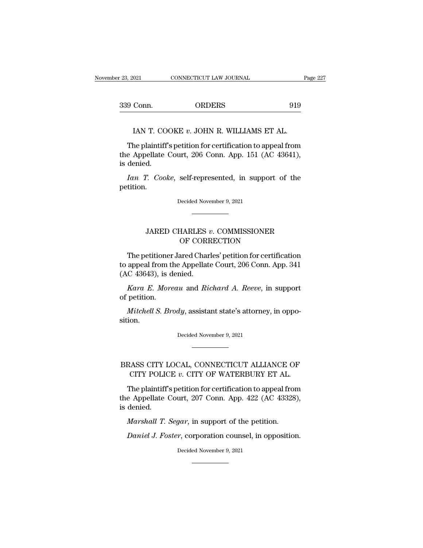| er 23, 2021 | CONNECTICUT LAW JOURNAL | Page 227 |
|-------------|-------------------------|----------|
|             |                         |          |
| 339 Conn.   | <b>ORDERS</b>           | 919      |

9 Conn. ORDERS 919<br>
IAN T. COOKE v. JOHN R. WILLIAMS ET AL.<br>
The plaintiff's petition for certification to appeal from<br>
e Appellate Court, 206 Conn. App. 151 (AC 43641), 339 Conn. ORDERS 919<br>
IAN T. COOKE v. JOHN R. WILLIAMS ET AL.<br>
The plaintiff's petition for certification to appeal from<br>
the Appellate Court, 206 Conn. App. 151 (AC 43641),<br>
is denied. IAN T. CO.<br>The plaintiff<br>the Appellate<br>is denied.<br>Ian T. Cook *IAN T. COOKE v. JOHN R. WILLIAMS ET AL.*<br>*The plaintiff's petition for certification to appeal from e Appellate Court, 206 Conn. App. 151 (AC 43641), denied.*<br>*Ian T. Cooke, self-represented, in support of the tition.* 

petition. Ian T. Cooke, self-represented, in support of the etition.<br>Decided November 9, 2021 F. Cooke, self-represented, in support of the<br>Decided November 9, 2021<br>JARED CHARLES *v*. COMMISSIONER<br>OF CORRECTION

# OF CORRECTION

Decided November 9, 2021<br>
The petitioner Jared Charles' petition for certification<br>
appeal from the Appellate Court, 206 Conn. App. 341<br>
C 42642), is dopied JARED CHARLES v. COMMISSIONER<br>OF CORRECTION<br>The petitioner Jared Charles' petition for certification<br>to appeal from the Appellate Court, 206 Conn. App. 341<br>(AC 43643), is denied. JARED CHARLES  $\alpha$ <br>OF CORE<br>The petitioner Jared Char<br>to appeal from the Appellate<br>(AC 43643), is denied.<br>*Kara E. Moreau* and *Ria* JARED CHARLES *v*. COMMISSIONER<br>OF CORRECTION<br>The petitioner Jared Charles' petition for certification<br>appeal from the Appellate Court, 206 Conn. App. 341<br>C 43643), is denied.<br>*Kara E. Moreau* and *Richard A. Reeve*, in su The petitioner<br>to appeal from tl<br>(AC 43643), is d<br>*Kara E. More*<br>of petition.<br>*Mitchell S. Bre* The petitioner Jared Charles' petition for certification<br>appeal from the Appellate Court, 206 Conn. App. 341<br>*C* 43643), is denied.<br>*Kara E. Moreau* and *Richard A. Reeve*, in support<br>petition.<br>*Mitchell S. Brody*, assista

sition. *Mitchell S. Brody*, assistant state's attorney, in oppotion.<br>Decided November 9, 2021

## $\begin{minipage}[c]{0.9\linewidth} \emph{Mitchell S. Brody, assistant state's atmosphere, in opposition.} \emph{Decided November 9, 2021} \emph{Decided November 9, 2021} \emph{Decided November 9, 2021} \emph{Decided Number 9, 2021} \emph{Decided Number 9, 2021} \emph{Decided Number 9, 2021} \emph{Decided Number 9, 2021} \emph{Decided Number 9, 2021} \emph{Decided Number 9, 2022} \emph{Decided Number 9, 2021} \emph{Decided Number 9, 2022} \emph{Decided Number 9$ on.<br>Decided November 9, 2021<br>CITY LOCAL, CONNECTICUT ALLIANCE OF<br>CITY POLICE *v*. CITY OF WATERBURY ET AL.<br>The plaintiff's petition for certification to appeal from

The plaintiff's petition for certification to appeal from BRASS CITY LOCAL, CONNECTICUT ALLIANCE OF CITY POLICE v. CITY OF WATERBURY ET AL.<br>The plaintiff's petition for certification to appeal from the Appellate Court, 207 Conn. App. 422 (AC 43328), is denied. BRASS CITY LOCAL, CONNECTICUT ALLIANCE OF CITY POLICE  $v$ . CITY OF WATERBURY ET AL.<br>The plaintiff's petition for certification to appeal from the Appellate Court, 207 Conn. App. 422 (AC 43328), is denied. *MASS CITY LOCAL, CONNECTICUT ALLIANCE O.*<br> *CITY POLICE v. CITY OF WATERBURY ET AL.*<br> *The plaintiff's petition for certification to appeal frome Appellate Court, 207 Conn. App. 422 (AC 43328 denied.*<br> *Marshall T. Segar,* The plaintiff's petition for certification to appeal from<br> *e* Appellate Court, 207 Conn. App. 422 (AC 43328),<br> *denied.*<br> *Marshall T. Segar*, in support of the petition.<br> *Daniel J. Foster*, corporation counsel, in oppos

Marshall T. Segar, in support of the petition.<br>Daniel J. Foster, corporation counsel, in opposition.<br>Decided November 9, 2021